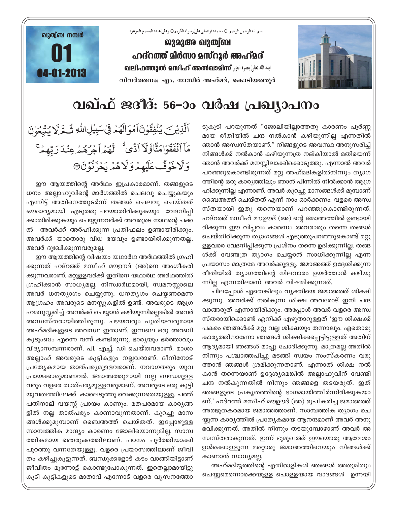

بسم الله الرحمن الرحيم O نحمده اونصلي علىٰ رسوله الكريم O وعلىٰ عبده المسيح الموعود

<u>ജുമുഅ ഖുത്വ്ബ</u> ഹദ്**റത്ത് മിർസാ മസ്റൂർ അഹ്**മദ് **Jeo-2010 الملاة تعالى بنصره العزيز @OILI and one and an diversion and an diversion and almost conditions** 04-01-2013 04-01-2013**hnh¿Ø\w: Fw. \mkn¿ AlvaZv, sImSnbØq¿**



## വഖ്ഫ് ജദീദ്: 56-ാം വർഷ പ്രഖ്യാപനം

ടുകൂടി പറയുന്നത് "ജോലിയില്ലാത്തതു കാരണം പൂർണ്ണ മായ രീതിയിൽ ചന്ദ നൽകാൻ കഴിയുന്നില്ല എന്നതിൽ ഞാൻ അസ്വസ്തയാണ്." നിങ്ങളുടെ അവസ്ഥ അനുസരിച്ച് നിങ്ങൾക്ക് നൽകാൻ കഴിയുന്നത്ര നല്കിയാൽ മതിയെന്ന് ഞാൻ അവർക്ക് മനസ്സിലാക്കിക്കൊടുത്തു. എന്നാൽ അവർ പറഞ്ഞുകൊണ്ടിരുന്നത് മറ്റു അഹ്മദികളിൽനിന്നും തൃാഗ ത്തിന്റെ ഒരു കാര്യത്തിലും ഞാൻ പിന്നിൽ നിൽക്കാൻ ആഗ്ര ഹിക്കുന്നില്ല എന്നാണ്. അവർ കുറച്ചു മാസങ്ങൾക്ക് മുമ്പാണ് ഖൈഅത്ത് ചെയ്തത് എന്ന് നാം ഓർക്കണം. വളരെ അസ്വ സ്തയായി ഇതു തന്നെയാണ് പറഞ്ഞുകൊണ്ടിരുന്നത്. ഹദ്റത്ത് മസീഹ് മൗഊദ് (അ) ന്റെ ജമാഅത്തിൽ ഉണ്ടായി രിക്കുന്ന ഈ വിപ്ലവം കാരണം അവരാരും തന്നെ തങ്ങൾ ചെയ്തിരിക്കുന്ന തൃാഗങ്ങൾ എടുത്തുപറഞ്ഞുകൊണ്ട് മറ്റു ള്ളവരെ വേദനിപ്പിക്കുന്ന പ്രശ്നം തന്നെ ഉദിക്കുന്നില്ല. തങ്ങ ൾക്ക് വേണ്ടത്ര ത്യാഗം ചെയ്യാൻ സാധിക്കുന്നില്ല എന്ന (പയാസം മാത്രമേ അവർക്കുള്ളൂ. ജമാഅത്ത് ഉദ്ദേശിക്കുന്ന രീതിയിൽ തൃാഗത്തിന്റെ നിലവാരം ഉയർത്താൻ കഴിയു ന്നില്ല എന്നതിലാണ് അവർ വിഷമിക്കുന്നത്.

ചിലപ്പോൾ ഏതെങ്കിലും വ്യക്തിയെ ജമാഅത്ത് ശിക്ഷി ക്കുന്നു. അവർക്ക് നൽകുന്ന ശിക്ഷ അവരോട് ഇനി ചന്ദ വാങ്ങരുത് എന്നായിരിക്കും. അപ്പോൾ അവർ വളരെ അസ്വ സ്തരായിക്കൊണ്ട് എനിക്ക് എഴുതാറുള്ളത് 'ഈ ശിക്ഷക്ക് പകരം ഞങ്ങൾക്ക് മറ്റു വല്ല ശിക്ഷയും തന്നാലും. ഏതൊരു കാര്യത്തിനാണോ ഞങ്ങൾ ശിക്ഷിക്കപ്പെട്ടിട്ടുള്ളത് അതിന് ആദ്യമായി ഞങ്ങൾ മാപ്പു ചോദിക്കുന്നു. മാത്രമല്ല അതിൽ  $\mathfrak{m}$ ിന്നും പശ്ചാത്തപിച്ചു മടങ്ങി സ്വയം സംസ്കരണം വരു ത്താൻ ഞങ്ങൾ ശ്രമിക്കുന്നതാണ്. എന്നാൽ ശിക്ഷ നൽ കാൻ തന്നെയാണ് ഉദ്ദേശ്യമെങ്കിൽ അല്ലാഹുവിന് വേണ്ടി ചന്ദ നൽകുന്നതിൽ നിന്നും ഞങ്ങളെ തടയരുത്. ഇത് ഞങ്ങളുടെ പ്രകൃതത്തിന്റെ ഭാഗമായിത്തീർന്നിരിക്കുകയാ ണ്.' ഹദ്റത്ത് മസീഹ് മൗഊദ് (അ) രുപീകരിച്ച ജമാഅത്ത് അത്ഭുതകരമായ ജമാഅത്താണ്. സാമ്പത്തിക ത്യാഗം ചെ യ്യുന്ന കാരൃത്തിൽ പ്രത്യേകമായ ആനന്ദമാണ് അവർ അനു ഭവിക്കുന്നത്. അതിൽ നിന്നും തടയുമ്പോഴാണ് അവർ അ സ്വസ്തരാകുന്നത്. ഇന്ന് ഭൂമുഖത്ത് ഈയൊരു ആവേശം ഉൾക്കൊള്ളുന്ന മറ്റൊരു ജമാഅത്തിനെയും നിങ്ങൾക്<mark>ക്</mark> കാണാൻ സാധ്യമല്ല.

അഹ്മദിയ്യത്തിന്റെ എതിരാളികൾ ഞങ്ങൾ അതുമിതും ചെയ്യുമെന്നൊക്കെയുള്ള പൊള്ളയായ വാദങ്ങൾ ഉന്നയി

ٱلَّذِيۡنَ يُنۡفِقُوۡنَ ٱمۡوَالَهُمۡ فِىۡسَبِيۡلِ اللَّهِ ثَمَّظَ لَا يُتۡبِعُوۡنَ مَاۤ اَنۡفَقُوۡامَتَّاوَّلَآ اَذًى ؕ لَّهُمۡ اَجۡرُهُمۡ عِنۡدَرَبِّهِمۡ ۚ **وَلَاخَوَفٌ عَلَيْهِمْ وَلَا هُمَّهُ يَخْزَنُوَنَ** 

ഈ ആയത്തിന്റെ അർഥം ഇപ്രകാരമാണ്. തങ്ങളുടെ ധനം അല്ലാഹുവിന്റെ മാർഗത്തിൽ ചെലവു ചെയ്യുകയും എന്നിട്ട് അതിനെത്തുടർന്ന് തങ്ങൾ ചെലവു ചെയ്തത് ഔദാര്യമായി എടുത്തു പറയാതിരിക്കുകയും വേദനിപ<mark>്</mark>പി ക്കാതിരിക്കുകയും ചെയ്യുന്നവർക്ക് അവരുടെ നാഥന്റെ പക്ക ൽ അവർക്ക് അർഹിക്കുന്ന പ്രതിഫലം ഉണ്ടായിരിക്കും. അവർക്ക് യാതൊരു വിധ ഭയവും ഉണ്ടായിരിക്കുന്നതല്ല. അവർ ദുഃഖിക്കുന്നവരുമല്ല.

ഈ ആയത്തിന്റെ വിഷയം യഥാർഥ അർഥത്തിൽ ഗ്രഹി ക്കുന്നത് ഹദ്റത്ത് മസീഹ് മൗഊദ് (അ)നെ അംഗീകരി ക്കുന്നവരാണ്. മറ്റുള്ളവർക്ക് ഇതിനെ യഥാർഥ അർഥത്തിൽ ്രഹിക്കാൻ സാധ്യമല്ല. നിസ്വാർഥമായി, സ്വമനസ്സാലെ അവർ ധനത്യാഗം ചെയ്യുന്നു. ധനതൃഗം ചെയ്യണമെന്ന ആഗ്രഹം അവരുടെ മനസ്സുകളിൽ ഉണ്ട്. അവരുടെ ആഗ്ര ഹമനുസ്സരിച്ച് അവർക്ക് ചെയ്യാൻ കഴിയുന്നില്ലെങ്കിൽ അവർ അസ്വസ്തരായിത്തീരുന്നു. പഴയവരും പുതിയവരുമായ അഹ്മദികളുടെ അവസ്ഥ ഇതാണ്. ഇന്നലെ ഒരു അറബി കുടുംബം എന്നെ വന്ന് കണ്ടിരുന്നു. ഭാരൃയും ഭർത്താവും വിദ്യാസമ്പന്നരാണ്. പി. എച്ച്. ഡി ചെയ്തവരാണ്. മാശാ അല്ലാഹ് അവരുടെ കുട്ടികളും നല്ലവരാണ്. ദീനിനോട് (പത്യേകമായ താത്പര്യമുള്ളവരാണ്. നവാഗതരും യുവ (പായക്കാരുമാണവർ. ജമാഅത്തുമായി നല്ല ബന്ധമുള്ള വരും വളരെ താത്പര്യമുള്ളവരുമാണ്. അവരുടെ ഒരു കുട്ടി യുവത്വത്തിലേക്ക് കാലെടുത്തു വെക്കുന്നതെയുള്ളൂ. പത്ത് പതിനാല് വയസ്സ് പ്രായം കാണും. മതപരമായ കാര്യങ്ങ ളിൽ നല്ല താത്പര്യം കാണാവുന്നതാണ്. കുറച്ചു മാസ ങ്ങൾക്കുമുമ്പാണ് ബൈഅത്ത് ചെയ്തത്. ഇപ്പോഴുള്ള സാമ്പത്തിക മാന്ദ്യം കാരണം ജോലിയൊന്നുമില്ല. സാമ്പ ത്തികമായ ഞെരുക്കത്തിലാണ്. പഠനം പൂർത്തിയാക്കി പുറത്തു വന്നതേയുള്ളൂ. വളരെ പ്രയാസത്തിലാണ് ജീവി തം കഴിച്ചുകൂട്ടുന്നത്. ബന്ധുക്കളോട് കടം വാങ്ങിയിട്ടാണ് ജീവിതം മൂന്നോട്ട് കൊണ്ടുപോകുന്നത്. ഇതെല്ലാമായിട്ടു കൂടി കൂട്ടികളുടെ മാതാവ് എന്നോട് വളരെ വൃസനത്തോ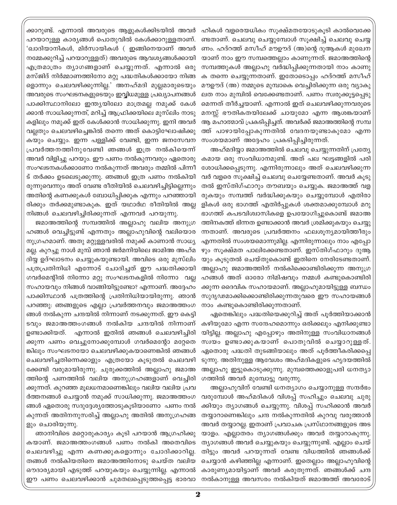ഹികൾ വളരെയധികം സൂക്ഷ്മതയോടുകൂടി കാൽവെക്കേ ണ്ടതാണ്. ചെലവു ചെയ്യുമ്പോൾ സൂക്ഷിച്ച് ചെലവു ചെയ്യ ണം. ഹദ്റത്ത് മസീഹ് മൗഊദ് (അ)ന്റെ ദുആകൾ മുഖേന യാണ് നാം ഈ സമ്പത്തെല്ലാം കാണുന്നത്. ജമാഅത്തിന്റെ സമ്പത്തുകൾ അല്ലാഹു വർദ്ധിപ്പിക്കുന്നതായി നാം കാണു ക തന്നെ ചെയ്യുന്നതാണ്. ഇതോടൊപ്പം ഹദ്റത്ത് മസീഹ് മൗഊദ് (അ) നമ്മുടെ മുമ്പാകെ വെച്ചിരിക്കുന്ന ഒരു വ്യാകു ലത നാം മുമ്പിൽ വെക്കേണ്ടതാണ്. പണം സ്വരുക്കൂട്ടപ്പെടു മെന്നത് തീർച്ചയാണ്. എന്നാൽ ഇത് ചെലവഴിക്കുന്നവരുടെ മനസ്സ് ഭൗതികതയിലേക്ക് ചായുമോ എന്ന ആശങ്കയാണ് ആ മഹാത്മാവ് പ്രകടിപ്പിച്ചത്. അവർക്ക് ജമാഅത്തിന്റെ സമ്പ ത്ത് പാഴായിപ്പോകുന്നതിൽ വേദനയുണ്ടാകുമോ എന്ന സംശയമാണ് അദ്ദേഹം പ്രകടിപ്പിച്ചിരുന്നത്.

അഹ്മദിയ്യാ ജമാഅത്തിൽ ചെലവു ചെയ്യുന്നതിന് പ്രത്യേ കമായ ഒരു സംവിധാനമുണ്ട്. അത് പല ഘട്ടങ്ങളിൽ പരി ശോധിക്കപ്പെടുന്നു. എന്നിരുന്നാലും അത് ചെലവഴിക്കുന്ന വർ വളരെ സൂക്ഷിച്ച് ചെലവു ചെയ്യേണ്ടതാണ്. അവർ കൂടു തൽ ഇസ്തിഗ്ഫാറും തൗബയും ചെയ്യുക. ജമാഅത്ത് വള രുകയും സമ്പത്ത് വർദ്ധിക്കുകയും ചെയ്യുമ്പോൾ എതിരാ ളികൾ ഒരു ഭാഗത്ത് എതിർപ്പുകൾ ശക്തമാക്കുമ്പോൾ മറു ഭാഗത്ത് കപടവിശ്വാസികളെ ഉപയോഗിച്ചുകൊണ്ട് ജമാഅ ത്തിനകത്ത് ഭിന്നത ഉണ്ടാക്കാൻ അവർ ശ്രമിക്കുകയും ചെയ്യു ന്നതാണ്. അവരുടെ പ്രവർത്തനം ഫലശൂന്യമായിത്തീരും എന്നതിൽ സംശയമൊന്നുമില്ല. എന്നിരുന്നാലും നാം എപ്പോ ഴും സൂക്ഷ്മത പാലിക്കേണ്ടതാണ്. ഇസ്തിഗ്ഫാറും ദുആ യും കൂടുതൽ ചെയ്തുകൊണ്ട് ഇതിനെ നേരിടേണ്ടതാണ്. അല്ലാഹു ജമാഅത്തിന് നൽകിക്കൊണ്ടിരിക്കുന്ന അനുഗ്ര ഹങ്ങൾ അത് ഓരോ നിമിഷവും നമ്മൾ കണ്ടുകൊണ്ടിരി ക്കുന്ന ദൈവിക സഹായമാണ്. അല്ലാഹുമായിട്ടുള്ള ബന്ധം സുദൃഢമാക്കിക്കൊണ്ടിരിക്കുന്നതുവരെ ഈ സഹായങ്ങൾ നാം കണ്ടുകൊണ്ടിരിക്കുന്നതാണ്.

ഏതെങ്കിലും പദ്ധതിയെക്കുറിച്ച് അത് പൂർത്തിയാക്കാൻ കഴിയുമോ എന്ന സന്ദേഹമൊന്നും ഒരിക്കലും എനിക്കുണ്ടാ യിട്ടില്ല. അല്ലാഹു എപ്പോഴും അതിനുള്ള സംവിധാനങ്ങൾ സ്വയം ഉണ്ടാക്കുകയാണ് പൊതുവിൽ ചെയ്യാറുള്ളത്. ഏതൊരു പദ്ധതി തുടങ്ങിയാലും അത് പൂർത്തീകരിക്കപ്പെ ടുന്നു. അതിനുള്ള ആവേശം അഹ്മദികളുടെ ഹൃദയത്തിൽ അല്ലാഹു ഇട്ടുകൊടുക്കുന്നു. മുമ്പത്തെക്കാളുപരി ധനത്യാ ഗത്തിൽ അവർ മുമ്പോട്ടു വരുന്നു.

അല്ലാഹുവിന് വേണ്ടി ധനത്യാഗം ചെയ്യാനുള്ള സന്ദർഭം വരുമ്പോൾ അഹ്മദികൾ വിശപ്പ് സഹിച്ചും ചെലവു ചുരു ക്കിയും ത്യാഗങ്ങൾ ചെയ്യുന്നു. വിശപ്പ് സഹിക്കാൻ അവർ തയ്യാറാണെങ്കിലും ചന്ദ നൽകുന്നതിൽ കുറവു വരുത്താൻ അവർ തയ്യാറല്ല. ഇതാണ് പ്രവാചക പ്രസ്ഥാനങ്ങളുടെ അട യാളം. എല്ലാതരം ത്യാഗങ്ങൾക്കും അവർ തയ്യാറാകുന്നു. ത്യാഗങ്ങൾ അവർ ചെയ്യുകയും ചെയ്യുന്നുണ്ട്. എല്ലാം ചെയ് തിട്ടും അവർ പറയുന്നത് വേണ്ട വിധത്തിൽ ഞങ്ങൾക്ക് ചെയ്യാൻ കഴിഞ്ഞില്ല എന്നാണ്. ഇതെല്ലാം അല്ലാഹുവിന്റെ കാരുണ്യമായിട്ടാണ് അവർ കരുതുന്നത്. ഞങ്ങൾക്ക് ചന്ദ

ക്കാറുണ്ട്. എന്നാൽ അവരുടെ ആളുകൾക്കിടയിൽ അവർ പറയാറുള്ള കാര്യങ്ങൾ പൊതുവിൽ കേൾക്കാറുള്ളതാണ്. 'ഖാദിയാനികൾ, മിർസായികൾ ( ഇങ്ങിനെയാണ് അവർ നമ്മേക്കുറിച്ച് പറയാറുള്ളത്) അവരുടെ ആവശ്യങ്ങൾക്കായി എത്രമാത്രം ത്യാഗങ്ങളാണ് ചെയ്യുന്നത്. എന്നാൽ ഒരു മസ്ജിദ് നിർമ്മാണത്തിനോ മറ്റു പദ്ധതികൾക്കായോ നിങ്ങ ളൊന്നും ചെലവഴിക്കുന്നില്ല.' അനഹ്മദി മുല്ലമാരുടെയും അവരുടെ സംഘടനകളുടെയും ഇവ്വിധമുള്ള പ്രഖ്യാപനങ്ങൾ പാക്കിസ്ഥാനിലോ ഇന്ത്യയിലോ മാത്രമല്ല നമുക്ക് കേൾ ക്കാൻ സാധിക്കുന്നത്, മറിച്ച് ആഫ്രിക്കയിലെ മുസ്ലിം നാടു കളിലും നമുക്ക് ഇത് കേൾക്കാൻ സാധിക്കുന്നു. ഇനി അവർ വല്ലതും ചെലവഴിച്ചെങ്കിൽ തന്നെ അത് കൊട്ടിഘോഷിക്കു കയും ചെയ്യും. ഇന്ന പള്ളിക്ക് വേണ്ടി, ഇന്ന ജനസേവന പ്രവർത്തനത്തിനുവേണ്ടി ഞങ്ങൾ ഇത്ര നൽകിയെന്ന് അവർ വിളിച്ചു പറയും. ഈ പണം നൽകുന്നവരും ഏതൊരു സംഘടനകൾക്കാണോ നൽകുന്നത് അവരും തമ്മിൽ പിന്നീ ട് തർക്കം ഉടലെടുക്കുന്നു. ഞങ്ങൾ ഇത്ര പണം നൽകിയി രുന്നുവെന്നും അത് വേണ്ട രീതിയിൽ ചെലവഴിച്ചിട്ടില്ലെന്നും അതിന്റെ കണക്കുകൾ ബോധിപ്പിക്കുക എന്നും പറഞ്ഞായി രിക്കും തർക്കമുണ്ടാകുക. ഇത് യഥാർഥ രീതിയിൽ അല്ല നിങ്ങൾ ചെലവഴിച്ചിരിക്കുന്നത് എന്നവർ പറയുന്നു.

ജമാഅത്തിന്റെ സമ്പത്തിൽ അല്ലാഹു വലിയ അനുഗ്ര ഹങ്ങൾ വെച്ചിട്ടുണ്ട് എന്നതും അല്ലാഹുവിന്റെ വലിയൊര നുഗ്രഹമാണ്. അതു മറ്റുള്ളവരിൽ നമുക്ക് കാണാൻ സാധ്യ മല്ല. കുറച്ചു നാൾ മുമ്പ് ഞാൻ ജർമനിയിലെ ജാമിഅ അഹ്മ ദിയ്യ ഉദ്ഘാടനം ചെയ്യുകയുണ്ടായി. അവിടെ ഒരു മുസ്ലിം പത്രപ്രതിനിധി എന്നോട് ചോദിച്ചത് ഈ പദ്ധതിക്കായി ഗവർമെന്റിൽ നിന്നോ മറ്റു സംഘടനകളിൽ നിന്നോ വല്ല സഹായവും നിങ്ങൾ വാങ്ങിയിട്ടുണ്ടോ? എന്നാണ്. അദ്ദേഹം പാക്കിസ്ഥാൻ പത്രത്തിന്റെ പ്രതിനിധിയായിരുന്നു. ഞാൻ പറഞ്ഞു: ഞങ്ങളുടെ എല്ലാ പ്രവർത്തനവും ജമാഅത്തംഗ ങ്ങൾ നൽകുന്ന ചന്ദയിൽ നിന്നാണ് നടക്കുന്നത്. ഈ കെട്ടി ടവും ജമാഅത്തംഗങ്ങൾ നൽകിയ ചന്ദയിൽ നിന്നാണ് ഉണ്ടാക്കിയത്. എന്നാൽ ഇതിൽ ഞങ്ങൾ ചെലവഴിച്ചിരി ക്കുന്ന പണം വെച്ചുനോക്കുമ്പോൾ ഗവർമെന്റോ മറ്റേതെ ങ്കിലും സംഘടനയോ ചെലവഴിക്കുകയാണെങ്കിൽ ഞങ്ങൾ ചെലവഴിച്ചതിന്നെക്കാളും എത്രയോ കൂടുതൽ ചെലവഴി ക്കേണ്ടി വരുമായിരുന്നു. ചുരുക്കത്തിൽ അല്ലാഹു ജമാഅ ത്തിന്റെ പണത്തിൽ വലിയ അനുഗ്രഹങ്ങളാണ് വെച്ചിരി ക്കുന്നത്. കുറഞ്ഞ മൂലധനമാണെങ്കിലും വലിയ വലിയ പ്രവ ർത്തനങ്ങൾ ചെയ്യാൻ നമുക്ക് സാധിക്കുന്നു. ജമാഅത്തംഗ ങ്ങൾ ഏതൊരു സദുദ്ദേശ്യത്തോടുകൂടിയാണോ പണം നൽ കുന്നത് അതിനനുസരിച്ച് അല്ലാഹു അതിൽ അനുഗ്രഹങ്ങ ളും ചൊരിയുന്നു.

ഞാനിവിടെ മറ്റൊരുകാര്യം കൂടി പറയാൻ ആഗ്രഹിക്കു കയാണ്. ജമാഅത്തംഗങ്ങൾ പണം നൽകി അതെവിടെ ചെലവഴിച്ചു എന്ന കണക്കുകളൊന്നും ചോദിക്കാറില്ല. തങ്ങൾ നൽകിയതിനെ ജമാഅത്തിനോടു ചെയ്ത വലിയ ഔദാര്യമായി എടുത്ത് പറയുകയും ചെയ്യുന്നില്ല. എന്നാൽ ഈ പണം ചെലവഴിക്കാൻ ചുമതലപ്പെടുത്തപ്പെട്ട ഭാരവാ നൽകാനുള്ള അവസരം നൽകിയത് ജമാഅത്ത് അവരോട്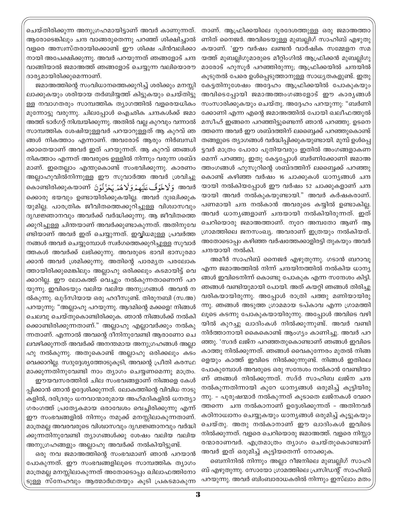താണ്. ആഫ്രിക്കയിലെ ദൂരദേശത്തുള്ള ഒരു ജമാഅത്താ ണിത് നൈജർ. അവിടെയുള്ള മുബല്ലിഗ് സാഹിബ് എഴുതു കയാണ്. 'ഈ വർഷം ലണ്ടൻ വാർഷിക സമ്മേളന സമ യത്ത് മുബല്ലിഗുമാരുടെ മീറ്റിംഗിൽ ആഫ്രിക്കൻ മുബല്ലിഗു മാരോട് ഹുസൂർ പറഞ്ഞിരുന്നു; ആഫ്രിക്കയിൽ ചന്ദയിൽ കൂടുതൽ പേരെ ഉൾപ്പെടുത്താനുള്ള സാധ്യതകളുണ്ട്. ഇതു കേട്ടതിനുശേഷം അദ്ദേഹം ആഫ്രിക്കയിൽ പോകുകയും അവിടെപ്പോയി ജമാഅത്തംഗങ്ങളോട് ഈ കാര്യങ്ങൾ സംസാരിക്കുകയും ചെയ്തു. അദ്ദേഹം പറയുന്നു: "ബർണി ക്കോണി എന്ന എന്റെ ജമാഅത്തിൽ പോയി ഖലീഫത്തുൽ മസീഹ് ഇങ്ങനെ പറഞ്ഞിട്ടുണ്ടെന്ന് ഞാൻ പറഞ്ഞു. ഉടനെ ത്തന്നെ അവർ ഈ ശബ്ദത്തിന് ലബ്ബൈക്ക് പറഞ്ഞുകൊണ്ട് തങ്ങളുടെ ത്യാഗങ്ങൾ വർദ്ധിപ്പിക്കുകയുണ്ടായി. മുമ്പ് ഉൾപ്പെ ട്ടവർ മാത്രം പോരാ പുതിയവരും ഇതിൽ അംഗങ്ങളാകണ മെന്ന് പറഞ്ഞു. ഇതു കേട്ടപ്പോൾ ബർണിക്കോണി ജമാഅ ത്തംഗങ്ങൾ ഹുസൂറിന്റെ ശബ്ദത്തിന് ലബ്ബൈക്ക് പറഞ്ഞു കൊണ്ട് കഴിഞ്ഞ വർഷം 16 ചാക്കുകൾ ധാന്യങ്ങൾ ചന്ദ യായി നൽകിയപ്പോൾ ഈ വർഷം 52 ചാക്കുകളാണ് ചന്ദ യായി അവർ നൽകുകയുണ്ടായി." അവർ കർഷകരാണ്. പണമായി ചന്ദ നൽകാൻ അവരുടെ കയ്യിൽ ഉണ്ടാകില്ല. അവർ ധാനൃങ്ങളാണ് ചന്ദയായി നൽകിയിരുന്നത്. ഇത് ചെറിയൊരു ജമാഅത്താണ്. നൂറേ അമ്പതോ ആണ് ആ ഗ്രാമത്തിലെ ജനസംഖ്യ. അവരാണ് ഇത്രയും നൽകിയത്. അതോടൊപ്പം കഴിഞ്ഞ വർഷത്തേക്കാളിരട്ടി തുകയും അവർ ചന്ദയായി നൽകി.

അമീർ സാഹിബ് നൈജർ എഴുതുന്നു. ഗടാൻ ബറാവൂ എന്ന ജമാഅത്തിൽ നിന്ന് ചന്ദയിനത്തിൽ നൽകിയ ധാന്യ ങ്ങൾ ഇവിടെനിന്ന് കൊണ്ടു പോകുക എന്ന സന്ദേശം കിട്ടി. ഞങ്ങൾ വണ്ടിയുമായി പോയി. അത് കയറ്റി ഞങ്ങൾ തിരിച്ചു വരികയായിരുന്നു. അപ്പോൾ രാത്രി പത്തു മണിയായിരു ന്നു. ഞങ്ങൾ അടുത്ത ഗ്രാമമായ ടപ്കാവ എന്ന ഗ്രാമത്തി ലൂടെ കടന്നു പോകുകയായിരുന്നു. അപ്പോൾ അവിടെ വഴി യിൽ കുറച്ചു ഖാദിംകൾ നിൽക്കുന്നുണ്ട്. അവർ വണ്ടി നിർത്താനായി കൈകൊണ്ട് ആംഗ്യം കാണിച്ചു. അവർ പറ ഞ്ഞു. 'സദർ ലജ്ന പറഞ്ഞതുകൊണ്ടാണ് ഞങ്ങൾ ഇവിടെ കാത്തു നിൽക്കുന്നത്. ഞങ്ങൾ വൈകുന്നേരം മുതൽ നിങ്ങ ളെയും കാത്ത് ഇവിടെ നിൽക്കുന്നുണ്ട്. നിങ്ങൾ ഇതിലെ പോകുമ്പോൾ അവരുടെ ഒരു സന്ദേശം നൽകാൻ വേണ്ടിയാ ണ് ഞങ്ങൾ നിൽക്കുന്നത്. സദ്ർ സാഹിബ ലജ്ന ചന്ദ നൽകുന്നതിന്നായി കുറേ ധാന്യങ്ങൾ ഒരുമിച്ച് കൂട്ടിയിരു ന്നു. - പുരുഷന്മാർ നൽകുന്നത് കൂടാതെ ലജ്നകൾ വേറെ ത്തന്നെ ചന്ദ നൽകാനാണ് ഉദ്ദേശിക്കുന്നത് - അതിനവർ കഠിനാധ്വാനം ചെയ്യുകയും ധാന്യങ്ങൾ ഒരുമിച്ച് കൂട്ടുകയും ചെയ്തു. അതു നൽകാനാണ് ഈ ഖാദിംകൾ ഇവിടെ നിൽക്കുന്നത്. വളരെ ചെറിയൊരു ജമാഅത്ത്. വളരെ നിസ്സാ രന്മാരാണവർ. എത്രമാത്രം ത്യാഗം ചെയ്തുകൊണ്ടാണ് അവർ ഇത് ഒരുമിച്ച് കൂട്ടിയതെന്ന് നോക്കുക.

ബെനിനിൽ നിന്നും അല്ലാ റീജനിലെ മുബല്ലിഗ് സാഹി ബ് എഴുതുന്നു. സോയോ ഗ്രാമത്തിലെ പ്രസിഡന്റ് സാഹിബ് പറയുന്നു. അവർ ബിംബാരാധകരിൽ നിന്നും ഇസ്ലാം മതം

ചെയ്തിരിക്കുന്ന അനുഗ്രഹമായിട്ടാണ് അവർ കാണുന്നത്. ആരോടെങ്കിലും ചന്ദ വാങ്ങരുതെന്നു പറഞ്ഞ് ശിക്ഷിച്ചാൽ വളരെ അസ്വസ്തരായിക്കൊണ്ട് ഈ ശിക്ഷ പിൻവലിക്കാ നായി അപേക്ഷിക്കുന്നു. അവർ പറയുന്നത് ഞങ്ങളോട് ചന്ദ വാങ്ങിയാൽ ജമാഅത്ത് ഞങ്ങളോട് ചെയ്യുന്ന വലിയൊരൗ ദാര്യമായിരിക്കുമെന്നാണ്.

ജമാഅത്തിന്റെ സംവിധാനത്തെക്കുറിച്ച് ശരിക്കും മനസ്സി ലാക്കുകയും ശരിയായ തർബിയ്യത്ത് കിട്ടുകയും ചെയ്തിട്ടു ള്ള നവാഗതരും സാമ്പത്തിക ത്യാഗത്തിൽ വളരെയധികം മുന്നോട്ടു വരുന്നു. ചിലപ്പോൾ ഐഛിക ചന്ദകൾക്ക് ജമാ അത്ത് ടാർഗറ്റ് നിശ്ചയിക്കുന്നു. അതിൽ വല്ല കുറവും വന്നാൽ സാമ്പത്തിക ശേഷിയുള്ളവർ പറയാറുള്ളത് ആ കുറവ് ഞ ങ്ങൾ നികത്താം എന്നാണ്. അവരോട് ആരും നിർബന്ധി ക്കാതെയാണ് അവർ ഇത് പറയുന്നത്. ആ കുറവ് ഞങ്ങൾ നികത്താം എന്നത് അവരുടെ ഉള്ളിൽ നിന്നും വരുന്ന ശബ്ദ മാണ്. ഇതെല്ലാം എന്തുകൊണ്ട് സംഭവിക്കുന്നു. കാരണം അല്ലാഹുവിൽനിന്നുള്ള ഈ സുവാർത്ത അവർ ശ്രവിച്ചു തൊണ്ടിരിക്കുകയാണ് يُحْزَنُوۡنَ നടെ وَلَا هُمَٰ يَحۡزَنُوۡنَ നകാണ്ടിരിക്കുകയാണ് ക്കൊരു ഭയവും ഉണ്ടായിരിക്കുകയില്ല. അവർ ദുഃഖിക്കുക യുമില്ല. പാരത്രിക ജീവിതത്തെക്കുറിച്ചുള്ള വിശ്വാസവും ദൃഢജ്ഞാനവും അവർക്ക് വർദ്ധിക്കുന്നു. ആ ജീവിതത്തെ ക്കുറിച്ചുള്ള ചിന്തയാണ് അവർക്കുണ്ടാകുന്നത്. അതിനുവേ ണ്ടിയാണ് അവർ ഇത് ചെയ്യുന്നത്. ഇവ്വിധമുള്ള പ്രവർത്ത നങ്ങൾ അവർ ചെയ്യുമ്പോൾ സ്വർഗത്തെക്കുറിച്ചുള്ള സുവാർ ത്തകൾ അവർക്ക് ലഭിക്കുന്നു. അവരുടെ ഭാവി ഭാസുരമാ ക്കാൻ അവർ ശ്രമിക്കുന്നു. അതിന്റെ പാരമൃത പരലോക ത്തായിരിക്കുമെങ്കിലും അല്ലാഹു ഒരിക്കലും കടമായിട്ട് വെ ക്കാറില്ല. ഈ ലോകത്ത് വെച്ചും നൽകുന്നതാണെന്ന് പറ യുന്നു. ഇവിടെയും വലിയ വലിയ അനുഗ്രങ്ങൾ അവൻ ന ൽകുന്നു. ഖുദ്സിയായ ഒരു ഹദീസുണ്ട്. തിരുനബി (സ.അ) പറയുന്നു: "അല്ലാഹു പറയുന്നു. ആദമിന്റെ മക്കളെ! നിങ്ങൾ ചെലവു ചെയ്തുകൊണ്ടിരിക്കുക. ഞാൻ നിങ്ങൾക്ക് നൽകി ക്കൊണ്ടിരിക്കുന്നതാണ്." അല്ലാഹു എല്ലാവർക്കും നൽകു ന്നതാണ്. എന്നാൽ അവന്റെ ദീനിനുവേണ്ടി ആരാണോ ചെ ലവഴിക്കുന്നത് അവർക്ക് അനന്തമായ അനുഗ്രഹങ്ങൾ അല്ലാ ഹു നൽകുന്നു. അതുകൊണ്ട് അല്ലാഹു ഒരിക്കലും കടം വെക്കാറില്ല. സദുദ്ദേശ്യത്തോടുകുടി, അവന്റെ പ്രീതി കരസ്ഥ മാക്കുന്നതിനുവേണ്ടി നാം ത്യാഗം ചെയ്യണമെന്നു മാത്രം.

ഈയവസരത്തിൽ ചില സംഭവങ്ങളാണ് നിങ്ങളെ കേൾ പ്പിക്കാൻ ഞാൻ ഉദ്ദേശിക്കുന്നത്. ലോകത്തിന്റെ വിവിധ നാടു കളിൽ, ദരിദ്രരും ധനവാന്മാരുമായ അഹ്മദികളിൽ ധനത്യാ ഗരംഗത്ത് പ്രത്യേകമായ ഒരാവേശം വെച്ചിരിക്കുന്നു എന്ന് ഈ സംഭവങ്ങളിൽ നിന്നും നമുക്ക് മനസ്സിലാകുന്നതാണ്. മാത്രമല്ല അവരവരുടെ വിശ്വാസവും ദൃഢജ്ഞാനവും വർദ്ധി ക്കുന്നതിനുവേണ്ടി ത്യാഗങ്ങൾക്കു ശേഷം വലിയ വലിയ അനുഗ്രഹങ്ങളും അല്ലാഹു അവർക്ക് നൽകിയിട്ടുണ്ട്.

ഒരു നവ ജമാഅത്തിന്റെ സംഭവമാണ് ഞാൻ പറയാൻ പോകുന്നത്. ഈ സംഭവങ്ങളിലൂടെ സാമ്പത്തിക ത്യാഗം മാത്രമല്ല മനസ്സിലാകുന്നത് അതോടൊപ്പം ഖിലാഫത്തിനോ ടുള്ള സ്നേഹവും ആത്മാർഥതയും കൂടി പ്രകടമാകുന്ന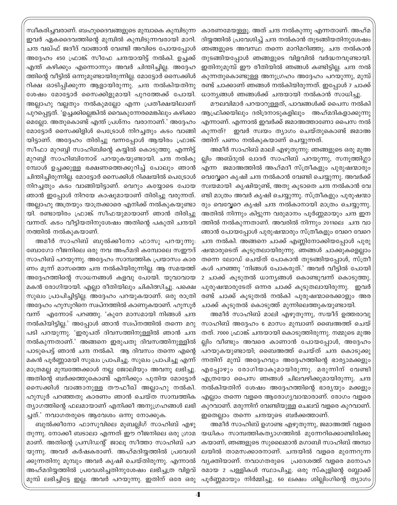കാരണമേയുള്ളൂ. അത് ചന്ദ നൽകുന്നു എന്നതാണ്. അഹ്മ ദിയ്യത്തിൽ പ്രവേശിച്ച് ചന്ദ നൽകാൻ തുടങ്ങിയതിനുശേഷം ഞങ്ങളുടെ അവസ്ഥ തന്നെ മാറിമറിഞ്ഞു. ചന്ദ നൽകാൻ തുടങ്ങിയപ്പോൾ ഞങ്ങളുടെ വിളവിൽ വർദ്ധനവുണ്ടായി. ഇതിനുമുമ്പ് ഈ രീതിയിൽ ഞങ്ങൾ കണ്ടിട്ടില്ല. ചന്ദ നൽ കുന്നതുകൊണ്ടുള്ള അനുഗ്രഹം അദ്ദേഹം പറയുന്നു, മുമ്പ് രണ്ട് ചാക്കാണ് ഞങ്ങൾ നൽകിയിരുന്നത്. ഇപ്പോൾ 7 ചാക്ക് ധാന്യങ്ങൾ ഞങ്ങൾക്ക് ചന്ദയായി നൽകാൻ സാധിച്ചു.

മൗലവിമാർ പറയാറുള്ളത്, പാവങ്ങൾക്ക് പൈസ നൽകി ആഫ്രിക്കയിലും ദരിദ്രനാടുകളിലും അഹ്മദികളാക്കുന്നു എന്നാണ്. എന്നാൽ ഇവർക്ക് ജമാഅത്താണോ പൈസ നൽ കുന്നത്? ഇവർ സ്വയം ത്യാഗം ചെയ്തുകൊണ്ട് ജമാഅ ത്തിന് പണം നൽകുകയാണ് ചെയ്യുന്നത്.

അമീർ സാഹിബ് മാലി എഴുതുന്നു: ഞങ്ങളുടെ ഒരു മുഅ ല്ലിം അബ്ദുൽ ഖാദർ സാഹിബ് പറയുന്നു, സനുത്തിഗ്ലാ എന്ന ജമാഅത്തിൽ അഹ്മദീ സ്ത്രീകളും പുരുഷന്മാരും വെവ്വേറെ കൃഷി ചന്ദ നൽകാൻ വേണ്ടി ചെയ്യുന്നു. അവർക്ക് സ്വയമായി കൃഷിയുണ്ട്, അതു കൂടാതെ ചന്ദ നൽകാൻ വേ ണ്ടി മാത്രം അവർ കൃഷി ചെയ്യുന്നു. സ്ത്രീകളും പുരുഷന്മാ രും വെവ്വേറെ കൃഷി ചന്ദ നൽകാനായി മാത്രം ചെയ്യുന്നു. അതിൽ നിന്നും കിട്ടുന്ന വരുമാനം പൂർണ്ണമായും ചന്ദ ഇന ത്തിൽ നൽകുന്നതാണ്. അവരിൽ നിന്നും 2011ലെ ചന്ദ വാ ങ്ങാൻ പോയപ്പോൾ പുരുഷന്മാരും സ്ത്രീകളും വേറെ വേറെ ചന്ദ നൽകി. അങ്ങനെ ചാക്ക് എണ്ണിനോക്കിയപ്പോൾ പുരു ഷന്മാരുടെത് കൂടുതലായിരുന്നു. ഞങ്ങൾ ചാക്കുകളെല്ലാം തന്നെ ലോഡ് ചെയ്ത് പോകാൻ തുടങ്ങിയപ്പോൾ, സ്ത്രീ കൾ പറഞ്ഞു 'നിങ്ങൾ പോകരുത്.' അവർ വീട്ടിൽ പോയി 2 ചാക്ക് കൂടുതൽ ധാന്യങ്ങൾ കൊണ്ടുവന്ന് കൊടുത്തു. പുരുഷന്മാരുടേത് ഒന്നര ചാക്ക് കുടുതലായിരുന്നു. ഇവർ രണ്ട് ചാക്ക് കൂടുതൽ നൽകി പുരുഷന്മാരെക്കാളും അര ചാക്ക് കൂടുതൽ കൊടുത്ത് മൂന്നിലെത്തുകയുണ്ടായി.

അമീർ സാഹിബ് മാലി എഴുതുന്നു, സയീദ് ഉത്തരാവു സാഹിബ് അദ്ദേഹം 6 മാസം മുമ്പാണ് ബൈഅത്ത് ചെയ് തത്. 7000 ഫ്രാങ്ക് ചന്ദയായി കൊടുത്തിരുന്നു. നമ്മുടെ മുഅ ല്ലിം വീണ്ടും അവരെ കാണാൻ പോയപ്പോൾ, അദ്ദേഹം പറയുകയുണ്ടായി; ബൈഅത്ത് ചെയ്ത് ചന്ദ കൊടുക്കു ന്നതിന് മുമ്പ് അദ്ദേഹവും അദ്ദേഹത്തിന്റെ ഭാര്യാമക്കളും എപ്പോഴും രോഗിയാകുമായിരുന്നു. മരുന്നിന് വേണ്ടി എത്രയോ പൈസ ഞങ്ങൾ ചിലവഴിക്കുമായിരുന്നു. ചന്ദ നൽകിയതിന് ശേഷം അദ്ദേഹത്തിന്റെ ഭാര്യയും മക്കളും എല്ലാം തന്നെ വളരെ ആരോഗ്യവാന്മാരാണ്. രോഗം വളരെ ത്യാഗത്തിന്റെ ഫലമായാണ് എനിക്കീ അനുഗ്രഹങ്ങൾ ലഭി കുറവാണ്. മരുന്നിന് വേണ്ടിയുള്ള ചെലവ് വളരെ കുറവാണ്. ഇതെല്ലാം തന്നെ ചന്ദയുടെ ബർക്കത്താണ്.

> അമീർ സാഹിബ് ഉഗാണ്ട എഴുതുന്നു, ജമാഅത്ത് വളരെ യധികം സാമ്പത്തികത്യാഗത്തിൽ മുന്നേറിക്കൊണ്ടിരിക്കു കയാണ്, ഞങ്ങളുടെ സുലൈമാൻ മഗാബി സാഹിബ് അമ്പാ ലയിൽ താമസക്കാരനാണ്. ചന്ദയിൽ വളരെ മുന്നേറുന്ന വ്യക്തിയാണ്. നവാഗതരുടെ പ്രദേശത്ത് വളരെ മനോഹ രമായ 2 പള്ളികൾ സ്ഥാപിച്ചു. ഒരു സ്കൂളിന്റെ ബ്ലോക്ക് പൂർണ്ണമായും നിർമ്മിച്ചു. 60 ലക്ഷം ശില്ലിംഗിന്റെ ത്യാഗം

സ്വീകരിച്ചവരാണ്. ബഹുദൈവങ്ങളുടെ മുമ്പാകെ കുമ്പിടുന്ന ഇവർ ഏകദൈവത്തിന്റെ മുമ്പിൽ കുമ്പിടുന്നവരായി മാറി. ചന്ദ വഖ്ഫ് ജദീദ് വാങ്ങാൻ വേണ്ടി അവിടെ പോയപ്പോൾ അദ്ദേഹം 450 ഫ്രാങ്ക് സീഫേ ചന്ദയായിട്ട് നൽകി. ഉച്ചക്ക് എന്ത് കഴിക്കും എന്നൊന്നും അവർ ചിന്തിച്ചില്ല. അദ്ദേഹ ത്തിന്റെ വീട്ടിൽ ഒന്നുമുണ്ടായിരുന്നില്ല. മോട്ടോർ സൈക്കിൾ റിക്ഷ ഓടിപ്പിക്കുന്ന ആളായിരുന്നു. ചന്ദ നൽകിയതിനു ശേഷം മോട്ടോർ സൈക്കിളുമായി പുറത്തേക്ക് പോയി. അല്ലാഹു വല്ലതും നൽകുമല്ലോ എന്ന പ്രതീക്ഷയിലാണ് പുറപ്പെട്ടത്. 'ഉച്ചക്കില്ലെങ്കിൽ വൈകുന്നേരമെങ്കിലും കഴിക്കാ മെല്ലോ. അതുകൊണ്ട് എന്ത് പ്രശ്നം വരാനാണ്.' അദ്ദേഹം മോട്ടോർ സൈക്കിളിൾ പെട്രോൾ നിറച്ചതും കടം വാങ്ങി യിട്ടാണ്. അദ്ദേഹം തിരിച്ചു വന്നപ്പോൾ ആയിരം ഫ്രാങ്ക് സീഫാ മുറബ്ബി സാഹിബിന്റെ കയ്യിൽ കൊടുത്തു. എന്നിട്ട് മുറബ്ബി സാഹിബിനോട് പറയുകയുണ്ടായി. ചന്ദ നൽകു മ്പോൾ ഉച്ചക്കുള്ള ഭക്ഷണത്തെക്കുറിച്ച് പോലും ഞാൻ ചിന്തിച്ചിരുന്നില്ല. മോട്ടോർ സൈക്കിൾ റിക്ഷയിൽ പെട്രോൾ നിറച്ചതും കടം വാങ്ങിയിട്ടാണ്. വെറും കയ്യോടെ പോയ ഞാൻ ഇപ്പോൾ നിറയേ കാഷുമായാണ് തിരിച്ചു വരുന്നത്. അല്ലാഹു അത്രയും യാത്രക്കാരെ എനിക്ക് നൽകുകയുണ്ടാ യി. രണ്ടായിരം ഫ്രാങ്ക് സീഫയുമായാണ് ഞാൻ തിരിച്ചു വന്നത്. കടം വീട്ടിയതിനുശേഷം അതിന്റെ പകുതി ചന്ദയി നത്തിൽ നൽകുകയാണ്.

അമീർ സാഹിബ് ബുൽക്കീനോ ഫാസു പറയുന്നു. ബോഗോ റീജനിലെ ഒരു നവ അഹ്മദി കമ്പോലെ സഈദ് സാഹിബ് പറയുന്നു. അദ്ദേഹം സാമ്പത്തിക പ്രയാസം കാര ണം മൂന്ന് മാസത്തെ ചന്ദ നൽകിയിരുന്നില്ല. ആ സമയത്ത് അദ്ദേഹത്തിന്റെ സാധനങ്ങൾ കളവു പോയി. യുവാവായ മകൻ രോഗിയായി. എല്ലാ രീതിയിലും ചികിത്സിച്ചു. പക്ഷെ സുഖം പ്രാപിച്ചിട്ടില്ല. അദ്ദേഹം പറയുകയാണ്. ഒരു രാത്രി അദ്ദേഹം ഹുസുറിനെ സ്വപ്നത്തിൽ കാണുകയാണ്. ഹുസുർ വന്ന് എന്നോട് പറഞ്ഞു. 'കുറേ മാസമായി നിങ്ങൾ ചന്ദ നൽകിയിട്ടില്ല.' അപ്പോൾ ഞാൻ സ്വപ്നത്തിൽ തന്നെ മറു പടി പറയുന്നു. 'ഇരുപത് ദിവസത്തിനുള്ളിൽ ഞാൻ ചന്ദ നൽകുന്നതാണ്.' അങ്ങനെ ഇരുപതു ദിവസത്തിനുള്ളിൽ പാടുപെട്ട് ഞാൻ ചന്ദ നൽകി. ആ ദിവസം തന്നെ എന്റെ മകൻ പൂർണ്ണാമയി സുഖം പ്രാപിച്ചു. സുഖം പ്രാപിച്ചു എന്ന് മാത്രമല്ല മുമ്പത്തേക്കാൾ നല്ല ജോലിയും അവനു ലഭിച്ചു. അതിന്റെ ബർക്കത്തുകൊണ്ട് എനിക്കും പുതിയ മോട്ടോർ സൈക്കിൾ വാങ്ങാനുള്ള തൗഫീഖ് അല്ലാഹു നൽകി. ഹുസൂർ പറഞ്ഞതു കാരണം ഞാൻ ചെയ്ത സാമ്പത്തിക ച്ചത്.' നവാഗതരുടെ ആവേശം ഒന്നു നോക്കുക.

ബുൽക്കീനോ ഫാസുവിലെ മുബല്ലിഗ് സാഹിബ് എഴു തുന്നു. നോക്കീ ബടാലാ എന്നത് ഈ റീജനിലെ ഒരു ഗ്രാമ മാണ്. അതിന്റെ പ്രസിഡന്റ് ജാലൂ സീത്താ സാഹിബ് പറ യുന്നു. അവർ കർഷകരാണ്. അഹ്മദിയ്യത്തിൽ പ്രവേശി ക്കുന്നതിനു മുമ്പും അവർ കൃഷി ചെയ്തിരുന്നു. എന്നാൽ അഹ്മദിയ്യത്തിൽ പ്രവേശിച്ചതിനുശേഷം ലഭിച്ചത്ര വിളവ് മുമ്പ് ലഭിച്ചിട്ടേ ഇല്ല. അവർ പറയുന്നു. ഇതിന് ഒരേ ഒരു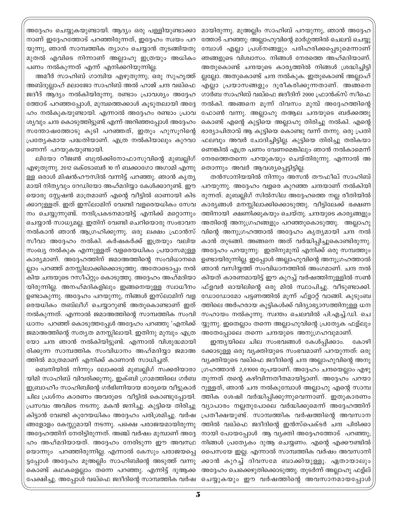മായിരുന്നു. മുഅല്ലിം സാഹിബ് പറയുന്നു, ഞാൻ അദ്ദേഹ ത്തോട് പറഞ്ഞു: അല്ലാഹുവിന്റെ മാർഗ്ഗത്തിൽ ചെലവ് ചെയ്യു മ്പോൾ എല്ലാ പ്രശ്നങ്ങളും പരിഹരിക്കപ്പെടുമെന്നാണ് ഞങ്ങളുടെ വിശ്വാസം. നിങ്ങൾ നേരത്തെ അഹ്മദിയാണ്. അതുകൊണ്ട് ചന്ദയുടെ കാര്യത്തിൽ നിങ്ങൾ ശ്രദ്ധിച്ചിട്ടി ല്ലല്ലോ. അതുകൊണ്ട് ചന്ദ നൽകുക. ഇതുകൊണ്ട് അല്ലാഹ് എല്ലാ പ്രയാസങ്ങളും ദൂരീകരിക്കുന്നതാണ്. അങ്ങനെ ഗാർബ സാഹിബ് വഖ്ഫെ ജദീദിന് 2000 ഫ്രാൻക്സ് സീഫെ നൽകി. അങ്ങനെ മൂന്ന് ദിവസം മുമ്പ് അദ്ദേഹത്തിന്റെ ഫോൺ വന്നു. അല്ലാഹു തആല ചന്ദയുടെ ബർക്കത്തു കൊണ്ട് എന്റെ കുട്ടിയെ അല്ലാഹു തിരിച്ചു നൽകി. എന്റെ ഭാര്യാപിതാവ് ആ കുട്ടിയെ കൊണ്ടു വന്ന് തന്നു. ഒരു പ്രതി ഫലവും അവർ ചോദിച്ചിട്ടില്ല. കുട്ടിയെ തിരിച്ചു തരികയാ ണെങ്കിൽ എത്ര പണം വേണമെങ്കിലും ഞാൻ നൽകാമെന്ന് നേരത്തെതന്നെ പറയുകയും ചെയ്തിരുന്നു. എന്നാൽ അ തൊന്നും അവർ ആവശ്യപ്പെട്ടിട്ടില്ല.

തൻസാനിയയിൽ നിന്നും അസൻ തൗഫീഖ് സാഹിബ് പറയുന്നു. അദ്ദേഹം വളരെ കുറഞ്ഞ ചന്ദയാണ് നൽകിയി രുന്നത്. മുബല്ലിഗ് സിൽസില അദ്ദേഹത്തെ നല്ല രീതിയിൽ കാര്യങ്ങൾ മനസ്സിലാക്കിക്കൊടുത്തു. വീട്ടിലേക്ക് ഭക്ഷണ ത്തിനായി ക്ഷണിക്കുകയും ചെയ്തു. ചന്ദയുടെ കാര്യങ്ങളും അതിന്റെ അനുഗ്രഹങ്ങളും പറഞ്ഞുകൊടുത്തു. അല്ലാഹു വിന്റെ അനുഗ്രഹത്താൽ അദ്ദേഹം കൃത്യമായി ചന്ദ നൽ കാൻ തുടങ്ങി. അങ്ങനെ അത് വർദ്ധിപ്പിച്ചുകൊണ്ടിരുന്നു. അദ്ദേഹം പറയുന്നു: ഇതിനുമുമ്പ് എനിക്ക് ഒരു സമ്പത്തും ഉണ്ടായിരുന്നില്ല. ഇപ്പോൾ അല്ലാഹുവിന്റെ അനുഗ്രഹത്താൽ ഞാൻ വസിയ്യത്ത് സംവിധാനത്തിൽ അംഗമാണ്. ചന്ദ നൽ കിയത് കാരണമായിട്ട് ഈ കുറച്ച് വർഷത്തിനുള്ളിൽ സൺ ഫ്ളവർ ഓയിലിന്റെ ഒരു മിൽ സ്ഥാപിച്ചു. വീടുണ്ടാക്കി. ഡോഡോമോ പട്ടണത്തിൽ മൂന്ന് ഫ്ളാറ്റ് വാങ്ങി. കുടുംബ ത്തിലെ അർഹരായ കുട്ടികൾക്ക് വിദ്യാഭ്യാസത്തിനുള്ള ധന സഹായം നൽകുന്നു. സ്വന്തം ചെലവിൽ പി.എച്ച്.ഡി. ചെ യ്യുന്നു. ഇതെല്ലാം തന്നെ അല്ലാഹുവിന്റെ പ്രത്യേക ഫള്ലും അതേപ്പോലെ തന്നെ ചന്ദയുടെ അനുഗ്രഹവുമാണ്.

ഇന്ത്യയിലെ ചില സംഭവങ്ങൾ കേൾപ്പിക്കാം. കോഴി ക്കോടുള്ള ഒരു വ്യക്തിയുടെ സംഭവമാണ് പറയുന്നത്. ഒരു വ്യക്തിയുടെ വഖ്ഫെ ജദീദിന്റെ ചന്ദ അല്ലാഹുവിന്റെ അനു ഗ്രഹത്താൻ 2,01000 രൂപയാണ്. അദ്ദേഹം ചന്ദയെല്ലാം എഴു തുന്നത് തന്റെ കഴിവിന്നതീതമായിട്ടാണ്. അദ്ദേഹം പറയാ റുള്ളത്, ഞാൻ ചന്ദ നൽകുമ്പോൾ അല്ലാഹു എന്റെ സാമ്പ ത്തിക ശേഷി വർദ്ധിപ്പിക്കുന്നുവെന്നാണ്. ഇതുകാരണം വ്യാപാരം നല്ലതുപോലെ വർദ്ധിക്കുമെന്ന് അദ്ദേഹത്തിന് പ്രതീക്ഷയുണ്ട്. സാമ്പത്തിക വർഷത്തിന്റെ അവസാന ത്തിൽ വഖ്ഫെ ജദീദിന്റെ ഇൻസ്പെക്ടർ ചന്ദ പിരിക്കാ നായി പോയപ്പോൾ ആ വ്യക്തി അദ്ദേഹത്തോട് പറഞ്ഞു; നിങ്ങൾ പ്രത്യേകം ദുആ ചെയ്യണം. എന്റെ എക്കൗണ്ടിൽ പൈസയേ ഇല്ല. എന്നാൽ സാമ്പത്തിക വർഷം അവസാനി ക്കാൻ കുറച്ച് ദിവസമേ ബാക്കിയുള്ളൂ. ഏതായാലും അദ്ദേഹം ചെക്കെഴുതിക്കൊടുത്തു. തുടർന്ന് അല്ലാഹു ഫള്ല് പേക്ഷിച്ചു. അപ്പോൾ വഖ്ഫെ ജദീദിന്റെ സാമ്പത്തിക വർഷ ചെയ്യുകയും ഈ വർഷത്തിന്റെ അവസാനമായപ്പോൾ

അദ്ദേഹം ചെയ്യുകയുണ്ടായി. ആദ്യം ഒരു പള്ളിയുണ്ടാക്കാ നാണ് ഇദ്ദേഹത്തോട് പറഞ്ഞിരുന്നത്, ഇദ്ദേഹം സ്വയം പറ യുന്നു, ഞാൻ സാമ്പത്തിക ത്യാഗം ചെയ്യാൻ തുടങ്ങിയതു മുതൽ എവിടെ നിന്നാണ് അല്ലാഹു ഇത്രയും അധികം പണം നൽകുന്നത് എന്ന് എനിക്കറിയുന്നില്ല.

അമീർ സാഹിബ് ഗാമ്പിയ എഴുതുന്നു; ഒരു സുഹൃത്ത് അബ്ദുല്ലാഹ് മലാജോ സാഹിബ് അൽ ഹാജ് ചന്ദ വഖ്ഫെ ജദീദ് ആദ്യം നൽകിയിരുന്നു. രണ്ടാം പ്രാവശ്യം അദ്ദേഹ ത്തോട് പറഞ്ഞപ്പോൾ, മുമ്പത്തെക്കാൾ കൂടുതലായി അദ്ദേ ഹം നൽകുകയുണ്ടായി. എന്നാൽ അദ്ദേഹം രണ്ടാം പ്രാവ ശ്യവും ചന്ദ കൊടുത്തിട്ടുണ്ട് എന്ന് അറിഞ്ഞപ്പോൾ അദ്ദേഹം സന്തോഷത്തോടു കൂടി പറഞ്ഞത്, ഇതും ഹുസൂറിന്റെ പ്രത്യേകമായ പദ്ധതിയാണ്. എത്ര നൽകിയാലും കുറവാ ണെന്ന് പറയുകയുണ്ടായി.

ലിയോ റീജൺ ബുൽക്കിനോഫാസുവിന്റെ മുബല്ലിഗ് എഴുതുന്നു. 2012 ഒക്ടോബർ 10 ന് ബക്കാഗോ അഗാമി എന്നു ള്ള ഒരാൾ മിഷൻഹൗസിൽ വന്നിട്ട് പറഞ്ഞു. ഞാൻ കൃത്യ മായി നിത്യവും റേഡിയോ അഹ്മദിയ്യാ കേൾക്കാറുണ്ട്. ഈ യൊരു സ്റ്റേഷൻ മാത്രമാണ് എന്റെ വീട്ടിൽ ഓണായി കിട ക്കാറുള്ളത്. ഇത് ഇസ്ലാമിന് വേണ്ടി വളരെയധികം സേവ നം ചെയ്യുന്നുണ്ട്. നന്ദിപ്രകടനമായിട്ട് എനിക്ക് മറ്റൊന്നും ചെയ്യാൻ സാധ്യമല്ല. ഇതിന് വേണ്ടി ചെറിയൊരു സംഭാവന നൽകാൻ ഞാൻ ആഗ്രഹിക്കുന്നു. ഒരു ലക്ഷം ഫ്രാൻസ് സീവാ അദ്ദേഹം നൽകി. കർഷകർക്ക് ഇത്രയും വലിയ സംഖ്യ നൽകുക എന്നുള്ളത് വളരെയധികം പ്രയാസമുള്ള കാര്യമാണ്. അദ്ദേഹത്തിന് ജമാഅത്തിന്റെ സംവിധാനമെ ല്ലാം പറഞ്ഞ് മനസ്സിലാക്കിക്കൊടുത്തു. അതോടൊപ്പം നൽ കിയ ചന്ദയുടെ റസീപ്റ്റും കൊടുത്തു. അദ്ദേഹം അഹ്മദിയാ യിരുന്നില്ല. അനഹ്മദികളിലും ഇങ്ങനെയുള്ള സ്വാധീനം ഉണ്ടാകുന്നു. അദ്ദേഹം പറയുന്നു, നിങ്ങൾ ഇസ്ലാമിന് വള രെയധികം തബ്ലീഗ് ചെയ്യാറുണ്ട് അതുകൊണ്ടാണ് ഇത് നൽകുന്നത്. എന്നാൽ ജമാഅത്തിന്റെ സാമ്പത്തിക സംവി ധാനം പറഞ്ഞ് കൊടുത്തപ്പേൾ അദ്ദേഹം പറഞ്ഞു 'എനിക്ക് ജമാഅത്തിന്റെ സത്യത മനസ്സിലായി. ഇതിനു മുമ്പും എത്ര യോ ചന്ദ ഞാൻ നൽകിയിട്ടുണ്ട്. എന്നാൽ വിശുദ്ധമായി രിക്കുന്ന സാമ്പത്തിക സംവിധാനം അഹ്മദിയ്യാ ജമാഅ ത്തിൽ മാത്രമാണ് എനിക്ക് കാണാൻ സാധിച്ചത്.

ബെനിയിൽ നിന്നും ലോക്കൽ മുബല്ലിഗ് സക്കരിയാരാ യിമി സാഹിബ് വിവരിക്കുന്നു, ഇക്ബി ഗ്രാമത്തിലെ ഗർബ ഇബ്രാഹീം സാഹിബിന്റെ ഗർഭിണിയായ ഭാര്യയെ വീട്ടുകാർ ചില പ്രശ്നം കാരണം അവരുടെ വീട്ടിൽ കൊണ്ടുപ്പോയി. പ്രസവം അവിടെ നടന്നു. മകൻ ജനിച്ചു. കുട്ടിയെ തിരിച്ചു കിട്ടാൻ വേണ്ടി കുറേയധികം അദ്ദേഹം പരിശ്രമിച്ചു. വർഷ ങ്ങളോളം കേസ്സുമായി നടന്നു. പക്ഷെ പരാജയമായിരുന്നു അദ്ദേഹത്തിന് നേരിട്ടിരുന്നത്. അഞ്ച് വർഷം മുമ്പാണ് അദ്ദേ ഹം അഹ്മദിയായത്. അദ്ദേഹം നേരിടുന്ന ഈ അവസ്ഥ യൊന്നും പറഞ്ഞിരുന്നില്ല. എന്നാൽ കേസും പരാജയപ്പെ ട്ടപ്പോൾ അദ്ദേഹം മുഅല്ലിം സാഹിബിന്റെ അടുത്ത് വന്നു കൊണ്ട് കഥകളെല്ലാം തന്നെ പറഞ്ഞു. എന്നിട്ട് ദുആക്ക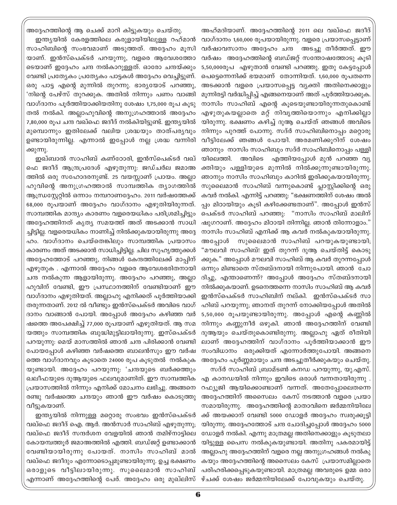അദ്ദേഹത്തിന്റെ ആ ചെക്ക് മാറി കിട്ടുകയും ചെയ്തു. ഇന്ത്യയിൽ കേരളത്തിലെ കരുളായിയിലുള്ള റഹ്മാൻ സാഹിബിന്റെ സംഭവമാണ് അടുത്തത്. അദ്ദേഹം മൂസി യാണ്. ഇൻസ്പെക്ടർ പറയുന്നു, വളരെ ആവേശത്തോ ടെയാണ് ഇദ്ദേഹം ചന്ദ നൽകാറുള്ളത്. ഓരോ ചന്ദയ്ക്കും വേണ്ടി പ്രത്യേകം പ്രത്യേകം പാട്ടകൾ അദ്ദേഹം വെച്ചിട്ടുണ്. ഒരു പാട്ട എന്റെ മുന്നിൽ തുറന്നു. ഭാരൃയോട് പറഞ്ഞു, 'നിന്റെ പേഴ്സ് തുറക്കുക. അതിൽ നിന്നും പണം വാങ്ങി വാഗ്ദാനം പൂർത്തിയാക്കിയതിനു ശേഷം 1,75,000 രൂപ കൂടു തൽ നൽകി. അല്ലാഹുവിന്റെ അനുഗ്രഹത്താൽ അദ്ദേഹം 7,80,000 രൂപ ചന്ദ വഖ്ഫെ ജദീദ് നൽകിയിട്ടുണ്ട്. ഇന്ത്യയിൽ മുമ്പൊന്നും ഇതിലേക്ക് വലിയ ശ്രദ്ധയും താത്പര്യവും ഉണ്ടായിരുന്നില്ല. എന്നാൽ ഇപ്പോൾ നല്ല ശ്രദ്ധ വന്നിരി ക്കുന്നു.

ഇഖ്ബാൽ സാഹിബ് കണ്ഠോരി, ഇൻസ്പെക്ടർ വഖ് ഫെ ജദീദ് ആന്ദ്രപ്രദേശ് എഴുതുന്നു: ജഡ്ചർല ജമാഅ ത്തിൽ ഒരു സഹോദരനുണ്ട്. 25 വയസ്സാണ് പ്രായം. അല്ലാ ഹുവിന്റെ അനുഗ്രഹത്താൽ സാമ്പത്തിക ത്യാഗത്തിൽ ആന്ധ്രസ്കേറ്റിൽ ഒന്നാം നമ്പറാണദ്ദേഹം. 2011 വർഷത്തേക്ക് 68,000 രൂപയാണ് അദ്ദേഹം വാഗ്ദാനം എഴുതിയിരുന്നത്. സാമ്പത്തിക മാന്ദ്യം കാരണം വളരെയധികം പരിശ്രമിച്ചിട്ടും അദ്ദേഹത്തിനത് കൃത്യ സമയത്ത് അത് അടക്കാൻ സാധി ച്ചിട്ടില്ല. വളരെയധികം നാണിച്ച് നിൽക്കുകയായിരുന്നു അദ്ദേ ഹം. വാഗ്ദാനം ചെയ്തെങ്കിലും സാമ്പത്തിക പ്രയാസം കാരണം അത് അടക്കാൻ സാധിച്ചിട്ടില്ല. ചില സുഹൃത്തുക്കൾ അദ്ദേഹത്തോട് പറഞ്ഞു, നിങ്ങൾ കേന്ദത്തിലേക്ക് മാപ്പിന് എഴുതുക . എന്നാൽ അദ്ദേഹം വളരെ ആവേശഭരിതനായി ചന്ദ നൽകുന്ന ആളായിരുന്നു. അദ്ദേഹം പറഞ്ഞു, അല്ലാ ഹുവിന് വേണ്ടി, ഈ പ്രസ്ഥാനത്തിന് വേണ്ടിയാണ് ഈ വാഗ്ദാനം എഴുതിയത്. അല്ലാഹു എനിക്കത് പൂർത്തിയാക്കി തരുന്നതാണ്. 2012 ൽ വീണ്ടും ഇൻസ്പെക്ടർ അവിടെ വാഗ് ദാനം വാങ്ങാൻ പോയി. അപ്പോൾ അദ്ദേഹം കഴിഞ്ഞ വർ ഷത്തെ അപേക്ഷിച്ച് 77,000 രൂപയാണ് എഴുതിയത്. ആ സമ യത്തും സാമ്പത്തിക ബുദ്ധിമുട്ടിലായിരുന്നു. ഇസ്പെക്ടർ പറയുന്നു: മെയ് മാസത്തിൽ ഞാൻ ചന്ദ പിരിക്കാൻ വേണ്ടി പോയപ്പോൾ കഴിഞ്ഞ വർഷത്തെ ബാലൻസും ഈ വർഷ ത്തെ വാഗ്ദാനവും കൂടാതെ 24000 രൂപ കൂടുതൽ നൽകുക യുണ്ടായി. അദ്ദേഹം പറയുന്നു: 'ചന്ദയുടെ ബർക്കത്തും ഖലീഫയുടെ ദുആയുടെ ഫലവുമാണിത്. ഈ സാമ്പത്തിക പ്രയാസത്തിൽ നിന്നും എനിക്ക് മോചനം ലഭിച്ചു. അങ്ങനെ രണ്ടു വർഷത്തെ ചന്ദയും ഞാൻ ഈ വർഷം കൊടുത്തു വീട്ടുകയാണ്.

ഇന്ത്യയിൽ നിന്നുള്ള മറ്റൊരു സംഭവം ഇൻസ്പെക്ടർ വഖ്ഫെ ജദീദ് ഐ. ആർ. അൻസാർ സാഹിബ് എഴുതുന്നു; വഖ്ഫെ ജദീദ് സന്ദർശന വേളയിൽ ഞാൻ തമിഴ്നാട്ടിലെ കോയമ്പത്തൂർ ജമാഅത്തിൽ എത്തി. ബഡ്ജറ്റ് ഉണ്ടാക്കാൻ വേണ്ടിയായിരുന്നു പോയത്. നാസിം സാഹിബ് മാൽ വഖ്ഫെ ജദീദും എന്നോടൊപ്പമുണ്ടായിരുന്നു. ഉച്ച ഭക്ഷണം ഒരാളുടെ വീട്ടിലായിരുന്നു. സുലൈമാൻ സാഹിബ് എന്നാണ് അദ്ദേഹത്തിന്റെ പേര്. അദ്ദേഹം ഒരു മുഖ്ലിസ് ഴ്ചക്ക് ശേഷം ജർമ്മനിയിലേക്ക് പോവുകയും ചെയ്തു.

അഹ്മദിയാണ്. അദ്ദേഹത്തിന്റെ 2011 ലെ വഖ്ഫെ ജദീദ് വാഗ്ദാനം 1,60,000 രൂപയായിരുന്നു. വളരെ പ്രയാസപ്പെട്ടാണ് വർഷാവസാനം അദ്ദേഹം ചന്ദ അടച്ചു തീർത്തത്. ഈ വർഷം അദ്ദേഹത്തിന്റെ ബഡ്ജറ്റ് സന്തോഷത്തോടു കൂടി 5,50,0000ൂപ എഴുതാൻ വേണ്ടി പറഞ്ഞു. ഇതു കേട്ടപ്പോൾ പെട്ടെന്നെനിക്ക് ഭയമാണ് തോന്നിയത്. 1,60,000 രൂപതന്നെ അടക്കാൻ വളരെ പ്രയാസപ്പെട്ട വ്യക്തി അതിനെക്കാളും മൂന്നിരട്ടി വർദ്ധിപ്പിച്ച് എങ്ങനെയാണ് അത് പൂർത്തിയാക്കുക. നാസിം സാഹിബ് എന്റെ കൂടെയുണ്ടായിരുന്നതുകൊണ്ട് എഴുതുകയല്ലാതെ മറ്റ് നിവൃത്തിയൊന്നും എനിക്കില്ലാ യിരുന്നു. ഭക്ഷണം കഴിച്ച് ദുആ ചെയ്ത് ഞങ്ങൾ അവിടെ നിന്നും പുറത്ത് പോന്നു. സദ്ർ സാഹിബിനൊപ്പം മറ്റൊരു വീട്ടിലേക്ക് ഞങ്ങൾ പോയി. അരമണിക്കൂറിന് ശേഷം ഞാനും നാസിം സാഹിബും സദ്ർ സാഹിബിനൊപ്പം പള്ളി അവിടെ എത്തിയപ്പോൾ മുൻ പറഞ്ഞ വ്യ യിലെത്തി. ക്തിയും പള്ളിയുടെ മുന്നിൽ നിൽക്കുന്നുണ്ടായിരുന്നു. ഞാനും നാസിം സാഹിബും കാറിൽ ഇരിക്കുകയായിരുന്നു. സുലൈമാൻ സാഹിബ് വന്നുകൊണ്ട് പ്ലാസ്റ്റിക്കിന്റെ ഒരു കവർ നൽകി. എന്നിട്ട് പറഞ്ഞു: "ഭക്ഷണത്തിന് ശേഷം അൽ പ്പം മിഠായിയും കുടി കഴിക്കേണ്ടതാണ്". അപ്പോൾ ഇൻസ് പെക്ടർ സാഹിബ് പറഞ്ഞു: "നാസിം സാഹിബ് മാലിന് ഷുഗറാണ്. അദ്ദേഹം മിഠായി തിന്നില്ല. ഞാൻ തിന്നോളാം." നാസിം സാഹിബ് എനിക്ക് ആ കവർ നൽകുകയായിരുന്നു. സുലൈമാൻ സാഹിബ് പറയുകയുണ്ടായി; അപ്പോൾ "മൗലവി സാഹിബ്! ഇത് തുറന്ന് ദുആ ചെയ്തിട്ട് കൊടു ക്കുക." അപ്പോൾ മൗലവി സാഹിബ് ആ കവർ തുറന്നപ്പോൾ ഒന്നും മിണ്ടാതെ സ്തബ്ദനായി നിന്നുപോയി. ഞാൻ ചോ ദിച്ചു, എന്താണെന്ന്? അപ്പോൾ അദ്ദേഹം സ്തബ്ദനായി നിൽക്കുകയാണ്. ഉടനെത്തന്നെ നാസിം സാഹിബ് ആ കവർ ഇൻസ്പെക്ടർ സാഹിബിന് നല്കി. ഇൻസ്പെക്ടർ സാ ഹിബ് പറയുന്നു; ഞാനത് തുറന്ന് നോക്കിയപ്പോൾ അതിൽ 5,50,000 രൂപയുണ്ടായിരുന്നു. അപ്പോൾ എന്റെ കണ്ണിൽ നിന്നും കണ്ണുനീർ ഒഴുകി. ഞാൻ അദ്ദേഹത്തിന് വേണ്ടി ദുആയും ചെയ്തുകൊണ്ടിരുന്നു. അല്ലാഹു ഏത് രീതിയി ലാണ് അദ്ദേഹത്തിന് വാഗ്ദാനം പൂർത്തിയാക്കാൻ ഈ സംവിധാനം ഒരുക്കിയത് എന്നോർത്തുപോയി. അങ്ങനെ അദ്ദേഹം പൂർണ്ണമായും ചന്ദ അടച്ചുതീർക്കുകയും ചെയ്തു. സദ്ർ സാഹിബ് ബ്രാമ്ടൺ കനഡ പറയുന്നു, യു.എസ്.

എ കാനഡയിൽ നിന്നും ഇവിടെ ഒരാൾ വന്നതായിരുന്നു . റഫ്യൂജി ആയിക്കൊണ്ടാണ് വന്നത്. അതേപ്പോലെതന്നെ അദ്ദേഹത്തിന് അസൈലം കേസ് നടത്താൻ വളരെ പ്രയാ സമായിരുന്നു. അദ്ദേഹത്തിന്റെ മാതാവിനെ ജർമ്മനിയിലേ ക്ക് അയക്കാന് വേണ്ടി 5000 ഡോളർ അദ്ദേഹം സ്വരുക്കൂട്ടി യിരുന്നു. അദ്ദേഹത്തോട് ചന്ദ ചോദിച്ചപ്പോൾ അദ്ദേഹം 5000 ഡോളർ നൽകി. എന്നു മാത്രമല്ല അതിനെക്കാളും കൂടുതലാ യിട്ടുള്ള പൈസ നൽകുകയുണ്ടായി. അതിനു പകരമായിട്ട് അല്ലാഹു അദ്ദേഹത്തിന് വളരെ നല്ല അനുഗ്രഹങ്ങൾ നൽകു കയും അദ്ദേഹത്തിന്റെ അസൈലം കേസ് പ്രയാസമില്ലാതെ പരിഹരിക്കപ്പെടുകയുണ്ടായി. മാത്രമല്ല അവരുടെ ഉമ്മ ഒരാ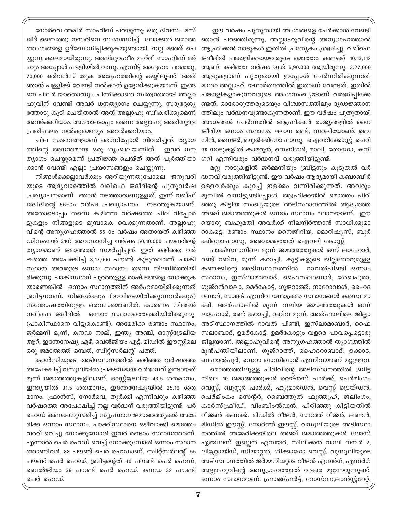നോർവെ അമീർ സാഹിബ് പറയുന്നു; ഒരു ദിവസം മസ് ജിദ് ബൈത്തു നസറിനെ സംബന്ധിച്ച് ലോക്കൽ ജമാഅ ത്തംഗങ്ങളെ ഉദ്ബോധിപ്പിക്കുകയുണ്ടായി. നല്ല മഞ്ഞ് പെ യ്യുന്ന കാലമായിരുന്നു. അബ്ദുറഹീം മഹ്ദീ സാഹിബ് മർ ഹും അപ്പോൾ പള്ളിയിൽ വന്നു. എന്നിട്ട് അദ്ദേഹം പറഞ്ഞു, 70,000 കർവൻസ് തുക അദ്ദേഹത്തിന്റെ കയ്യിലുണ്ട്. അത് ഞാൻ പള്ളിക്ക് വേണ്ടി നൽകാൻ ഉദ്ദേശിക്കുകയാണ്. ഇങ്ങ നെ ചിലർ യാതൊന്നും ചിന്തിക്കാതെ സ്വതന്ത്രരായി അല്ലാ ഹുവിന് വേണ്ടി അവർ ധനത്യാഗം ചെയ്യുന്നു. സദുദ്ദേശ്യ ത്തോടു കൂടി ചെയ്താൽ അത് അല്ലാഹു സ്വീകരിക്കുമെന്ന് അവർക്കറിയാം. അതോടൊപ്പം തന്നെ അല്ലാഹു അതിനുള്ള പ്രതിഫലം നൽകുമെന്നും അവർക്കറിയാം.

ചില സംഭവങ്ങളാണ് ഞാനിപ്പോൾ വിവരിച്ചത്. ത്യാഗ ത്തിന്റെ അനന്തമായ ഒരു ശൃംഖലയണിത്. ഇവർ ധന ത്യാഗം ചെയ്യുമെന്ന് പ്രതിജ്ഞ ചെയ്ത് അത് പുർത്തിയാ ക്കാൻ വേണ്ടി എല്ലാ പ്രയാസങ്ങളും ചെയ്യുന്നു.

നിങ്ങൾക്കെല്ലാവർക്കും അറിയുന്നതുപോലെ ജനുവരി യുടെ ആദ്യവാരത്തിൽ വഖ്ഫെ ജദീദിന്റെ പുതുവർഷ പ്രഖ്യാപനമാണ് ഞാൻ നടത്താറാണുള്ളത്. ഇന്ന് വഖ്ഫ് ജദീദിന്റെ 56-ാം വർഷ പ്രഖ്യാപനം നടത്തുകയാണ്. അതോടൊപ്പം തന്നെ കഴിഞ്ഞ വർഷത്തെ ചില റിപ്പോർ ട്ടുകളും നിങ്ങളുടെ മൂമ്പാകെ വെക്കുന്നതാണ്. അല്ലാഹു വിന്റെ അനുഗ്രഹത്താൽ 55–ാം വർഷം അതായത് കഴിഞ്ഞ ഡിസംമ്പർ 31ന് അവസാനിച്ച വർഷം 50,10,000 പൗണ്ടിന്റെ ത്യാഗമാണ് ജമാഅത്ത് സമർപ്പിച്ചത്. ഇത് കഴിഞ്ഞ വർ ഷത്തെ അപേക്ഷിച്ച് 3,17,000 പൗണ്ട് കൂടുതലാണ്. പാകി സ്ഥാൻ അവരുടെ ഒന്നാം സ്ഥാനം തന്നെ നിലനിർത്തിയി രിക്കുന്നു. പാകിസ്ഥാന് പുറത്തുള്ള രാഷ്ട്രങ്ങളെ നോക്കുക യാണെങ്കിൽ ഒന്നാം സ്ഥാനത്തിന് അർഹമായിരിക്കുന്നത് ബ്രിട്ടനാണ്. നിങ്ങൾക്കും (ഇവിടെയിരിക്കുന്നവർക്കും) സന്തോഷത്തിനുള്ള ഒരവസരമാണിത്. കാരണം നിങ്ങൾ വഖ്ഫെ ജദീദിൽ ഒന്നാം സ്ഥാനത്തെത്തിയിരിക്കുന്നു. (പാകിസ്ഥാനെ വിട്ടുകൊണ്ട്). അമേരിക്ക രണ്ടാം സ്ഥാനം, ജർമ്മനി മൂന്ന്, കനഡ നാല്, ഇന്ത്യ അഞ്ച്, ഓസ്റ്റ്ട്രേലിയ ആറ്, ഇന്തേനേഷ്യ ഏഴ്, വെൽജിയം എട്ട്, മിഡിൽ ഈസ്റ്റിലെ ഒരു ജമാഅത്ത് ഒമ്പത്, സ്വിറ്റ്സർലന്റ് പത്ത്.

കറൻസിയുടെ അടിസ്ഥാനത്തിൽ കഴിഞ്ഞ വർഷത്തെ അപേക്ഷിച്ച് വസൂലിയിൽ പ്രകടനമായ വർദ്ധനവ് ഉണ്ടായത് മൂന്ന് ജമാഅത്തുകളിലാണ്. ഓസ്റ്റ്ട്രേലിയ 43.5 ശതമാനം, ഇന്ത്യയിൽ 31.5 ശതമാനം, ഇന്തേനേഷ്യയിൽ 25.19 ശത മാനം. ഫ്രാൻസ്, നോർവെ, തുർക്കി എന്നിവരും കഴിഞ്ഞ വർഷത്തെ അപേക്ഷിച്ച് നല്ല വർദ്ധന് വരുത്തിയിട്ടുണ്ട്. പർ ഹെഡ് കണക്കനുസരിച്ച് സുപ്രധാന ജമാഅത്തുകൾ അമേ രിക്ക ഒന്നാം സ്ഥാനം. പാക്കിസ്ഥാനെ ഒഴിവാക്കി മൊത്തം വരവ് വെച്ചു നോക്കുമ്പോൾ ഇവർ രണ്ടാം സ്ഥാനത്താണ്. എന്നാൽ പെർ ഹെഡ് വെച്ച് നോക്കുമ്പോൾ ഒന്നാം സ്ഥാന ത്താണിവർ. 88 പൗണ്ട് പെർ ഹെഡാണ്. സ്വിറ്റ്സർലന്റ് 55 പൗണ്ട് പെർ ഹെഡ്, ബ്രിട്ടന്റെത് 40 പൗണ്ട് പെർ ഹെഡ്, ബെൽജിയം 39 പൗണ്ട് പെർ ഹെഡ്. കനഡ 32 പൗണ്ട് പെർ ഹെഡ്.

ഈ വർഷം പുതുതായി അംഗങ്ങളെ ചേർക്കാൻ വേണ്ടി ഞാൻ പറഞ്ഞിരുന്നു, അല്ലാഹുവിന്റെ അനുഗ്രഹത്താൽ ആഫ്രിക്കൻ നാടുകൾ ഇതിൽ പ്രത്യേകം ശ്രദ്ധിച്ചു. വഖ്ഫെ ജദീദിൽ പങ്കാളികളായവരുടെ മൊത്തം കണക്ക് 10,13,112 ആണ്. കഴിഞ്ഞ വർഷം ഇത് 6,90,000 ആയിരുന്നു. 3,27,000 ആളുകളാണ് പുതുതായി ഇപ്പോൾ ചേർന്നിരിക്കുന്നത്. മാശാ അല്ലാഹ്. യഥാർത്ഥത്തിൽ ഇതാണ് വേണ്ടത്. ഇതിൽ പങ്കാളികളാകുന്നവരുടെ അംഗസംഖ്യയാണ് വർദ്ധിപ്പിക്കേ ണ്ടത്. ഓരോരുത്തരുടെയും വിശ്വാസത്തിലും ദൃഢജ്ഞാന ത്തിലും വർദ്ധനവുണ്ടാകുന്നതാണ്. ഈ വർഷം പുതുതായി അംഗങ്ങൾ ചേർന്നതിൽ ആഫ്രിക്കൻ രാജ്യങ്ങളിൽ നൈ ജീരിയ ഒന്നാം സ്ഥാനം, ഘാന രണ്ട്, സറലിയോൺ, ബെ നിൻ, നൈജർ, ബുൽക്കിനോഫാസു, ഐവറിക്കോസ്റ്റ്. ചെറി യ നാടുകളിൽ കാമറൂൻ, സെനിഗൾ, മാലി, തോഗോ, കനി ഗറി എന്നിവരും വർദ്ധനവ് വരുത്തിയിട്ടുണ്ട്.

മറ്റു നാടുകളിൽ ജർമ്മനിയും ബ്രിട്ടനും കൂടുതൽ വർ ദ്ധനവ് വരുത്തിയിട്ടുണ്ട്. ഈ വർഷം ആദ്യമായി കബാബീർ ഉള്ളവർക്കും കുറച്ച് ഇളക്കം വന്നിരിക്കുന്നത്. അവരും മുമ്പിൽ വന്നിട്ടുണ്ടിപ്പോൾ. ആഫ്രിക്കയിൽ മൊത്തം പിരി ഞ്ഞു കിട്ടിയ സംഖ്യയുടെ അടിസ്ഥാനത്തിൽ ആദ്യത്തെ അഞ്ച് ജമാഅത്തുകൾ ഒന്നാം സ്ഥാനം ഘാനയാണ്. ഈ യൊരു ബഹുമതി അവർക്ക് നിലനിർത്താൻ സാധിക്കുമാ റാകട്ടെ. രണ്ടാം സ്ഥാനം നൈജീറിയ, മൊറിഷ്യസ്, ബുർ ക്കിനൊഫാസു, അഞ്ചാമത്തെത് ഐവറി കോസ്ല്.

പാകിസ്ഥാനിലെ മുന്ന് ജമാഅത്തുകൾ ഒന്ന് ലാഹോർ, രണ്ട് റബ്വ, മൂന്ന് കറാച്ചി. കുട്ടികളുടെ ജില്ലതോറുമുള്ള കണക്കിന്റെ അടിസ്ഥാനത്തിൽ റാവൽപിണ്ടി ഒന്നാം സ്ഥാനം, ഇസ്ലാമാബാദ്, ഫൈസലാബാദ്, ശേഖപൂരാ, ഗുജ്റൻവാലാ, ഉമർകോട്ട്, ഗുജറാത്ത്, നാറോവാൾ, ഹൈദ റബാദ്, സാങ്കട് എന്നിവ യഥാക്രമം സ്ഥാനങ്ങൾ കരസ്ഥമാ ക്കി. അത്ഫാലിൽ മുന്ന് വലിയ ജമാഅത്തുകൾ ഒന്ന് ലാഹോർ, രണ്ട് കറാച്ചി, റബ്വ മൂന്ന്. അത്ഫാലിലെ ജില്ലാ അടിസ്ഥാനത്തിൽ റാവൽ പിണ്ടി, ഇസ്ലാമാബാദ്, ഫൈ സലാബാദ്, ഉമർകോട്ട്. ഉമർകോട്ടും വളരെ പാവപ്പെട്ടൊരു ജില്ലയാണ്. അല്ലാഹുവിന്റെ അനുഗ്രഹത്താൽ ത്യാഗത്തിൽ മുൻപന്തിയിലാണ്. ഗുജ്റാത്ത്, ഹൈദറാബാദ്, ഉക്കാട, ബഹാൽപൂർ, ഡെറാ ഖാസിഖാൻ എന്നിവയാണ് മറ്റുള്ളവ.

മൊത്തത്തിലുള്ള പിരിവിന്റെ അടിസ്ഥാനത്തിൽ ബ്രിട്ട നിലെ 10 ജമാഅത്തുകൾ റെയ്ൻസ് പാർക്ക്, പെർമിംഗം വെസ്റ്റ്, ബുസ്റ്റർ പാർക്ക്, ഹ്യൂമാർഡൻ, വെസ്റ്റ് ട്രെയ്ഡൻ, പെർമിംകം സെന്റർ, ബൈത്തുൽ ഫുത്തുഹ്, ജലിംഗം, കാർസ്ഫ്രീഡ്, വിംബിംൽഡൻ. പിരിഞ്ഞു കിട്ടിയതിൽ റീജൺ കണക്ക്. മിഡിൽ റീജൻ, സൗത്ത് റീജൻ, ലണ്ടൻ, മിഡിൽ ഈസ്റ്റ്, നോർത്ത് ഈസ്റ്റ്. വസൂലിയുടെ അടിസ്ഥാ നത്തിൽ അമേരിക്കയിലെ അഞ്ച് ജമാഅത്തുകൾ ലോസ് ഏഞ്ചലസ് ഇല്ലെൻ എമ്പയർ, സിലിക്കൻ വാലി നമ്പർ 2, ലിറ്റ്രോയിഡ്, സിയാറ്റൽ, ശിക്കാഗോ വെസ്റ്റ്. വുസൂലിയുടെ അടിസ്ഥാനത്തിൽ ജർമ്മനിയുടെ റീജൻ എമ്പർഗ്, എമ്പർഗ് അല്ലാഹുവിന്റെ അനുഗ്രഹത്താൽ വളരെ മുന്നേറുന്നുണ്ട്. ഒന്നാം സ്ഥാനമാണ്. ഫ്രാങ്ങ്ഫർട്ട്, റോസ്റൗ,ലാൻസ്റ്റ്റേറ്റ്,